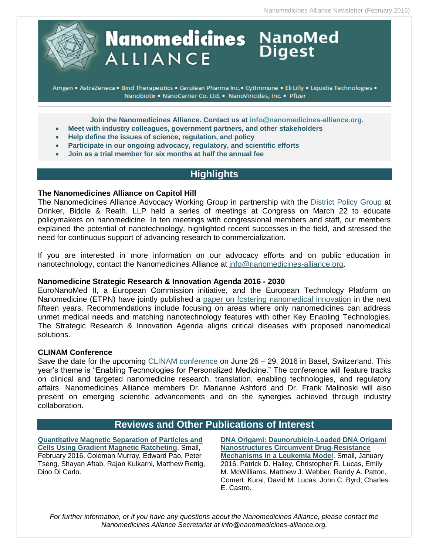

# **Nanomedicines** NanoMed<br>ALLIANCE Digest **ALLIANCE**

Amgen . AstraZeneca . Bind Therapeutics . Cerulean Pharma Inc. · CytImmune . Eli Lilly . Liquidia Technologies . Nanobiotix . NanoCarrier Co. Ltd. . NanoViricides, Inc. . Pfizer

**Join the Nanomedicines Alliance. Contact us at [info@nanomedicines-alliance.org.](mailto:info@nanomedicines-alliance.org)**

- **Meet with industry colleagues, government partners, and other stakeholders**
- **Help define the issues of science, regulation, and policy**
- **Participate in our ongoing advocacy, regulatory, and scientific efforts**
- **Join as a trial member for six months at half the annual fee**

# **Highlights**

# **The Nanomedicines Alliance on Capitol Hill**

The Nanomedicines Alliance Advocacy Working Group in partnership with the [District Policy Group](http://www.districtpolicygroup.com/) at Drinker, Biddle & Reath, LLP held a series of meetings at Congress on March 22 to educate policymakers on nanomedicine. In ten meetings with congressional members and staff, our members explained the potential of nanotechnology, highlighted recent successes in the field, and stressed the need for continuous support of advancing research to commercialization.

If you are interested in more information on our advocacy efforts and on public education in nanotechnology, contact the Nanomedicines Alliance at [info@nanomedicines-alliance.org.](mailto:info@nanomedicines-alliance.org)

# **Nanomedicine Strategic Research & Innovation Agenda 2016 - 2030**

EuroNanoMed II, a European Commission initiative, and the European Technology Platform on Nanomedicine (ETPN) have jointly published a [paper on fostering nanomedical innovation](http://www.etp-nanomedicine.eu/public/news-events/news/how-will-nanomedicine-revolutionize-healthcare-during-the-next-15-years) in the next fifteen years. Recommendations include focusing on areas where only nanomedicines can address unmet medical needs and matching nanotechnology features with other Key Enabling Technologies. The Strategic Research & Innovation Agenda aligns critical diseases with proposed nanomedical solutions.

#### **CLINAM Conference**

Save the date for the upcoming [CLINAM conference](https://www.clinam.org/) on June 26 – 29, 2016 in Basel, Switzerland. This year's theme is "Enabling Technologies for Personalized Medicine." The conference will feature tracks on clinical and targeted nanomedicine research, translation, enabling technologies, and regulatory affairs. Nanomedicines Alliance members Dr. Marianne Ashford and Dr. Frank Malinoski will also present on emerging scientific advancements and on the synergies achieved through industry collaboration.

# **Reviews and Other Publications of Interest**

**[Quantitative Magnetic Separation of Particles and](http://onlinelibrary.wiley.com/doi/10.1002/smll.201502120/abstract;jsessionid=C8F25E21226C40F872C25DE10EF5740A.f04t01)  [Cells Using Gradient Magnetic Ratcheting](http://onlinelibrary.wiley.com/doi/10.1002/smll.201502120/abstract;jsessionid=C8F25E21226C40F872C25DE10EF5740A.f04t01)**. Small, February 2016. Coleman Murray, Edward Pao, Peter Tseng, Shayan Aftab, Rajan Kulkarni, Matthew Rettig, Dino Di Carlo.

**[DNA Origami: Daunorubicin-Loaded DNA Origami](http://onlinelibrary.wiley.com/doi/10.1002/smll.201670014/abstract)  [Nanostructures Circumvent Drug-Resistance](http://onlinelibrary.wiley.com/doi/10.1002/smll.201670014/abstract)  [Mechanisms in a Leukemia Model](http://onlinelibrary.wiley.com/doi/10.1002/smll.201670014/abstract)**. Small, January 2016. Patrick D. Halley, Christopher R. Lucas, Emily M. McWilliams, Matthew J. Webber, Randy A. Patton, Comert. Kural, David M. Lucas, John C. Byrd, Charles E. Castro.

*For further information, or if you have any questions about the Nanomedicines Alliance, please contact the Nanomedicines Alliance Secretariat at info@nanomedicines-alliance.org.*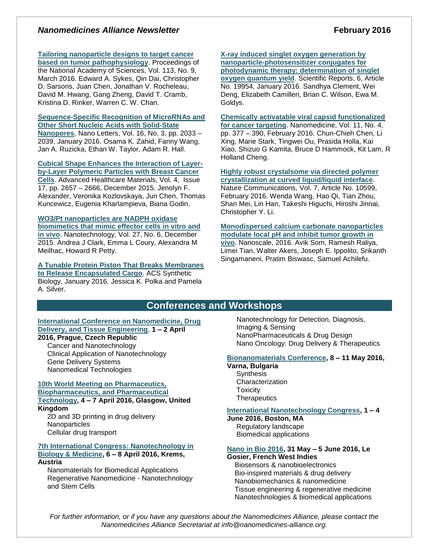# **Nanomedicines Alliance Newsletter February 2016**

**[Tailoring nanoparticle designs to target cancer](http://www.pnas.org/content/113/9/E1142)** 

**[based on tumor pathophysiology](http://www.pnas.org/content/113/9/E1142)**. Proceedings of the National Academy of Sciences, Vol. 113, No. 9, March 2016. Edward A. Sykes, Qin Dai, Christopher D. Sarsons, Juan Chen, Jonathan V. Rocheleau, David M. Hwang, Gang Zheng, David T. Cramb, Kristina D. Rinker, Warren C. W. Chan.

# **[Sequence-Specific Recognition of MicroRNAs and](http://pubs.acs.org/doi/abs/10.1021/acs.nanolett.6b00001)  [Other Short Nucleic Acids with Solid-State](http://pubs.acs.org/doi/abs/10.1021/acs.nanolett.6b00001)  [Nanopores](http://pubs.acs.org/doi/abs/10.1021/acs.nanolett.6b00001)**. Nano Letters, Vol. 16, No. 3, pp. 2033 – 2039, January 2016. Osama K. Zahid, Fanny Wang,

Jan A. Ruzicka, Ethan W. Taylor, Adam R. Hall.

**[Cubical Shape Enhances the Interaction of Layer](http://onlinelibrary.wiley.com/doi/10.1002/adhm.201500537/abstract)[by-Layer Polymeric Particles with Breast Cancer](http://onlinelibrary.wiley.com/doi/10.1002/adhm.201500537/abstract)  [Cells](http://onlinelibrary.wiley.com/doi/10.1002/adhm.201500537/abstract)**. Advanced Healthcare Materials, Vol. 4, Issue 17, pp. 2657 – 2666, December 2015. Jenolyn F. Alexander, Veronika Kozlovskaya, Jun Chen, Thomas Kuncewicz, Eugenia Kharlampieva, Biana Godin.

#### **[WO3/Pt nanoparticles are NADPH oxidase](http://iopscience.iop.org/article/10.1088/0957-4484/27/6/065101/meta;jsessionid=38E069CB08C02087763934BFE2726280.c4.iopscience.cld.iop.org)  [biomimetics that mimic effector cells in vitro and](http://iopscience.iop.org/article/10.1088/0957-4484/27/6/065101/meta;jsessionid=38E069CB08C02087763934BFE2726280.c4.iopscience.cld.iop.org)**

**[in vivo](http://iopscience.iop.org/article/10.1088/0957-4484/27/6/065101/meta;jsessionid=38E069CB08C02087763934BFE2726280.c4.iopscience.cld.iop.org)**. Nanotechnology, Vol. 27, No. 6, December 2015. Andrea J Clark, Emma L Coury, Alexandra M Meilhac, Howard R Petty.

**[A Tunable Protein Piston That Breaks Membranes](http://pubs.acs.org/doi/abs/10.1021/acssynbio.5b00237)  [to Release Encapsulated Cargo](http://pubs.acs.org/doi/abs/10.1021/acssynbio.5b00237)**. ACS Synthetic Biology, January 2016. Jessica K. Polka and Pamela A. Silver.

# **[X-ray induced singlet oxygen generation by](http://www.nature.com/articles/srep19954)  [nanoparticle-photosensitizer conjugates for](http://www.nature.com/articles/srep19954)  [photodynamic therapy: determination of singlet](http://www.nature.com/articles/srep19954)  [oxygen quantum yield](http://www.nature.com/articles/srep19954)**. Scientific Reports, 6, Article No. 19954, January 2016. Sandhya Clement, Wei Deng, Elizabeth Camilleri, Brian C. Wilson, Ewa M. Goldys.

**[Chemically activatable viral capsid functionalized](http://www.futuremedicine.com/doi/10.2217/nnm.15.207)  [for cancer targeting](http://www.futuremedicine.com/doi/10.2217/nnm.15.207)**. Nanomedicine, Vol. 11, No. 4, pp. 377 – 390, February 2016. Chun-Chieh Chen, Li Xing, Marie Stark, Tingwei Ou, Prasida Holla, Kai Xiao, Shizuo G Kamita, Bruce D Hammock, Kit Lam, R Holland Cheng.

**[Highly robust crystalsome via directed polymer](http://www.nature.com/ncomms/2016/160203/ncomms10599/full/ncomms10599.html)  [crystallization at curved liquid/liquid interface](http://www.nature.com/ncomms/2016/160203/ncomms10599/full/ncomms10599.html)**. Nature Communications, Vol. 7, Article No. 10599, February 2016. Wenda Wang, Hao Qi, Tian Zhou, Shan Mei, Lin Han, Takeshi Higuchi, Hiroshi Jinnai, Christopher Y. Li.

**[Monodispersed calcium carbonate nanoparticles](http://pubs.rsc.org/en/Content/ArticleLanding/2016/NR/C5NR06162H#!divAbstract)  [modulate local pH and inhibit tumor growth in](http://pubs.rsc.org/en/Content/ArticleLanding/2016/NR/C5NR06162H#!divAbstract)  [vivo](http://pubs.rsc.org/en/Content/ArticleLanding/2016/NR/C5NR06162H#!divAbstract)**. Nanoscale, 2016. Avik Som, Ramesh Raliya, Limei Tian, Walter Akers, Joseph E. Ippolito, Srikanth Singamaneni, Pratim Biswasc, Samuel Achilefu.

# **Conferences and Workshops**

#### **[International Conference on Nanomedicine, Drug](http://nddte.com/)  [Delivery, and Tissue Engineering](http://nddte.com/)**, **1 – 2 April 2016, Prague, Czech Republic**

Cancer and Nanotechnology Clinical Application of Nanotechnology Gene Delivery Systems Nanomedical Technologies

#### **[10th World Meeting on Pharmaceutics,](http://www.worldmeeting.org/home/)  [Biopharmaceutics, and Pharmaceutical](http://www.worldmeeting.org/home/)  [Technology,](http://www.worldmeeting.org/home/) 4 – 7 April 2016, Glasgow, United Kingdom**

2D and 3D printing in drug delivery **Nanoparticles** Cellular drug transport

#### **[7th International Congress: Nanotechnology in](http://www.bionanomed.at/)  [Biology & Medicine,](http://www.bionanomed.at/) 6 – 8 April 2016, Krems, Austria**

Nanomaterials for Biomedical Applications Regenerative Nanomedicine - Nanotechnology and Stem Cells

Nanotechnology for Detection, Diagnosis, Imaging & Sensing NanoPharmaceuticals & Drug Design Nano Oncology: Drug Delivery & Therapeutics

# **[Bionanomaterials](http://www.zingconferences.com/conferences/6th-zing-bionanomaterials-conference/) Conference, 8 – 11 May 2016,**

**Varna, Bulgaria Synthesis Characterization Toxicity Therapeutics** 

# **[International Nanotechnology Congress,](http://www.nanotoxcongress.net/index.html) 1 – 4**

**June 2016, Boston, MA** Regulatory landscape Biomedical applications

# **[Nano in Bio 2016,](http://nanoinbio2016.sciencesconf.org/) 31 May – 5 June 2016, Le**

**Gosier, French West Indies** Biosensors & nanobioelectronics

 Bio-inspired materials & drug delivery Nanobiomechanics & nanomedicine Tissue engineering & regenerative medicine Nanotechnologies & biomedical applications

*For further information, or if you have any questions about the Nanomedicines Alliance, please contact the Nanomedicines Alliance Secretariat at info@nanomedicines-alliance.org.*